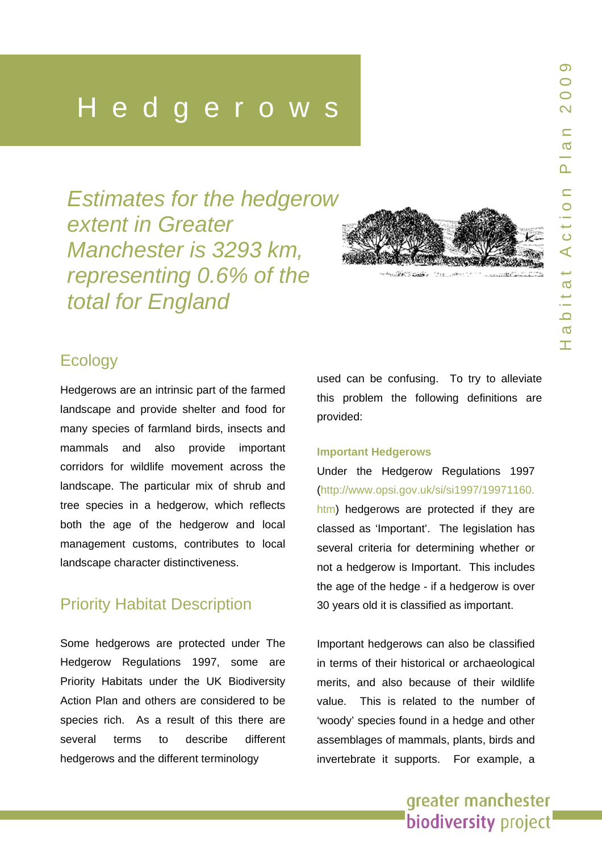# Hedgerows

*Estimates for the hedgerow extent in Greater Manchester is 3293 km, representing 0.6% of the total for England* 



### **Ecology**

Hedgerows are an intrinsic part of the farmed landscape and provide shelter and food fo r many species of farmland birds, insects and mammals and also provide important corridors for wildlife movement across the landscape. The particular mix of shrub and tree species in a hedgerow, which reflect s both the age of the hedgerow and local management customs, contributes to local landscape character distinctiveness.

### Priority Habitat Description

Some hedgerows are protected under The Hedgerow Regulations 1997, some are Priority Habitats under the UK Biodiversity Action Plan and others are conside red to be species r ich. As a result of this there are several terms to describe different hedgerows and the different terminology

used can b e confusing . To try to alleviate this proble m the following definitions are provided:

#### **Important Hedgerow s**

Under the Hedgerow Regulations 1997<br>([http://www.opsi.gov.uk/si/si1997/19971160.](http://www.opsi.gov.uk/si/si1997/19971160.htm) [htm\)](http://www.opsi.gov.uk/si/si1997/19971160.htm) hedgerows are protected if they are classed as 'Important'. The legislation has several criteria for determining whether or not a hedgerow is Important. This includes the age of the hedge - i f a hedgerow is over 30 years old it is classified as important.

Important hedgerows can also be classified in terms of their historical or archaeological merits, and also b ecause of the i r wildlife value. This is related to the number of 'woody' species found in a hedge and other assemblages of mammals, plants, birds and invertebrate it supports. For e x a mple, a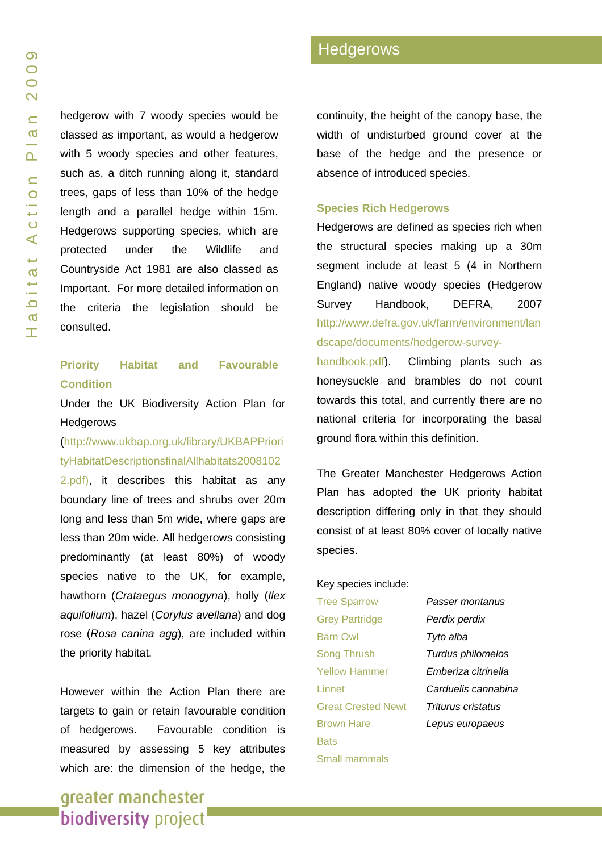hedgerow with 7 woody species would be classed as important, as would a hedgerow with 5 woody species and other features, such as, a ditch running along it, standard trees, gaps of less than 10% of the hedge length and a parallel hedge within 15m. Hedgerows supporting species, which are protected under the Wildlife and Countryside Act 1981 are also classed as Important. For more detailed information on the criteria the legislation should be consulted.

### **Priority Habitat and Favourable Condition**

Under the UK Biodiversity Action Plan for **Hedgerows** 

### [\(http://www.ukbap.org.uk/library/UKBAPPriori](http://www.ukbap.org.uk/library/UKBAPPriorityHabitatDescriptionsfinalAllhabitats20081022.pdf) [tyHabitatDescriptionsfinalAllhabitats2008102](http://www.ukbap.org.uk/library/UKBAPPriorityHabitatDescriptionsfinalAllhabitats20081022.pdf)

[2.pdf](http://www.ukbap.org.uk/library/UKBAPPriorityHabitatDescriptionsfinalAllhabitats20081022.pdf)), it describes this habitat as any boundary line of trees and shrubs over 20m long and less than 5m wide, where gaps are less than 20m wide. All hedgerows consisting predominantly (at least 80%) of woody species native to the UK, for example, hawthorn (*Crataegus monogyna*), holly (*Ilex aquifolium*), hazel (*Corylus avellana*) and dog rose (*Rosa canina agg*), are included within the priority habitat.

However within the Action Plan there are targets to gain or retain favourable condition of hedgerows. Favourable condition is measured by assessing 5 key attributes which are: the dimension of the hedge, the

continuity, the height of the canopy base, the width of undisturbed ground cover at the base of the hedge and the presence or absence of introduced species.

#### **Species Rich Hedgerows**

Hedgerows are defined as species rich when the structural species making up a 30m segment include at least 5 (4 in Northern England) native woody species (Hedgerow Survey Handbook, DEFRA, 2007 [http://www.defra.gov.uk/farm/environment/lan](http://www.defra.gov.uk/farm/environment/landscape/documents/hedgerow-survey-handbook.pdf) [dscape/documents/hedgerow-survey-](http://www.defra.gov.uk/farm/environment/landscape/documents/hedgerow-survey-handbook.pdf)

[handbook.pdf\)](http://www.defra.gov.uk/farm/environment/landscape/documents/hedgerow-survey-handbook.pdf). Climbing plants such as honeysuckle and brambles do not count towards this total, and currently there are no national criteria for incorporating the basal ground flora within this definition.

The Greater Manchester Hedgerows Action Plan has adopted the UK priority habitat description differing only in that they should consist of at least 80% cover of locally native species.

#### Key species include:

Tree Sparrow *Passer montanus* Grey Partridge *Perdix perdix* Barn Owl *Tyto alba* Song Thrush *Turdus philomelos* Yellow Hammer *Emberiza citrinella* Linnet *Carduelis cannabina* Great Crested Newt *Triturus cristatus* Brown Hare *Lepus europaeus* **Bats** Small mammals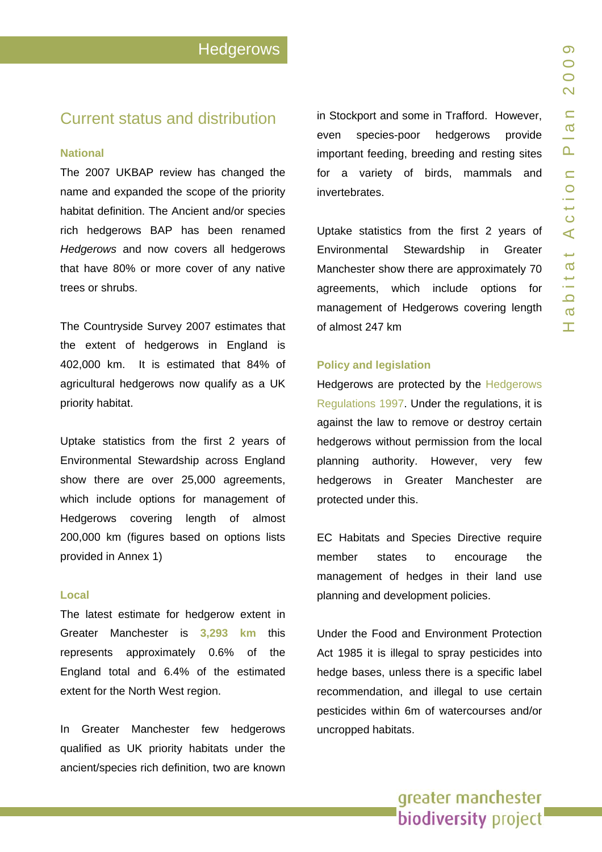### Current status and distribution

#### **National**

The 2007 UKBAP review has changed the name and e xpanded the scope of the priority habitat definition. The A ncient and/o r species rich hedgerows BAP has been renamed *Hedgerows* and now covers all hedgerows that have 80% or more cover of any native trees or shrubs.

The Countryside Surve y 2007 estimates that the extent of hedgerows in England is 402,000 km. It is est imated that 84% of agricultural hedgerows now qualify as a UK priority habitat.

Uptake statistics from the first 2 years of Environmental Stewardship across England show there are over 25,000 agreements, which include options for management of Hedgerows covering length of almost 200,000 km (figures based on options lists provided in Annex 1)

#### **Local**

The latest estimate for hedgerow extent in Greater Manchester is **3,293 km** this represents approximately 0.6% of the England total and 6.4% of the estimated extent for the North West region.

In Greater Manchester few hedgerows qualified as UK priority habitats under the ancient/species rich definition, two are known in Stockport and some in Trafford. However, even species-poor hedgerows provide important feeding, breeding and resting sites for a variety of birds, mammals and invertebrates.

Uptake statistics from the first 2 years of Environmental Stewardship in Greater Manchester show there are approximately 70 agreements, which include options fo r management of Hedgerows covering length of almost 247 km

#### **Polic y and legislation**

Hedgerows are protected by the [Hedgerows](http://www.dartmoor-npa.gov.uk/index/lookingafter/laf-landmanagement/laf-stonewallshedgebanks/laf-hedgerowsregs.htm)  [Regulations 1997](http://www.dartmoor-npa.gov.uk/index/lookingafter/laf-landmanagement/laf-stonewallshedgebanks/laf-hedgerowsregs.htm). Under the regulations, it is against the law to remove or destro y certain hedgerows without permission fro m the local planning a uthority. However, very few hedgerows in Greater Manchester are protected under this.

EC Habitats and Spe cies Directive require member states to encourage the management of hedges in the ir land use planning and development policies.

Under the Food and Environment Protection Act 1985 it is illegal to spray pesticides into hedge bases, unless there is a specific label recommendation, and illegal to use certain pesticides within 6m o f watercourses and/or uncropped habitats.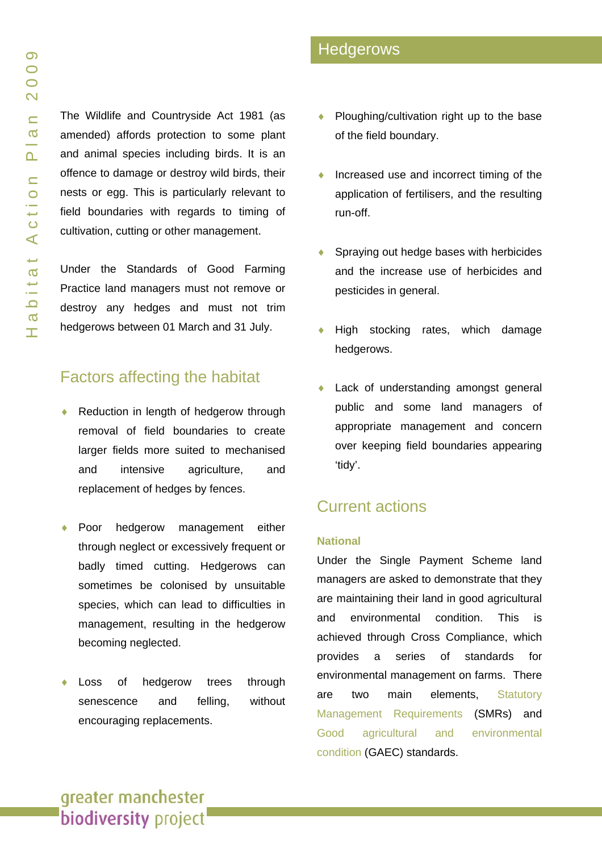The Wildlife and Countryside Act 1981 (as amended) affords protection to some plant and animal species including birds. It is an offence to damage or destroy wild birds, their nests or egg. This is particularly relevant to field boundaries with regards to timing of cultivation, cutting or other management.

Under the Standards of Good Farming Practice land managers must not remove or destroy any hedges and must not trim hedgerows between 01 March and 31 July.

### Factors affecting the habitat

- Reduction in length of hedgerow through removal of field boundaries to create larger fields more suited to mechanised and intensive agriculture, and replacement of hedges by fences.
- Poor hedgerow management either through neglect or excessively frequent or badly timed cutting. Hedgerows can sometimes be colonised by unsuitable species, which can lead to difficulties in management, resulting in the hedgerow becoming neglected.
- Loss of hedgerow trees through senescence and felling, without encouraging replacements.
- Ploughing/cultivation right up to the base of the field boundary.
- ♦ Increased use and incorrect timing of the application of fertilisers, and the resulting run-off.
- Spraying out hedge bases with herbicides and the increase use of herbicides and pesticides in general.
- High stocking rates, which damage hedgerows.
- Lack of understanding amongst general public and some land managers of appropriate management and concern over keeping field boundaries appearing 'tidy'.

### Current actions

#### **National**

Under the Single Payment Scheme land managers are asked to demonstrate that they are maintaining their land in good agricultural and environmental condition. This is achieved through Cross Compliance, which provides a series of standards for environmental management on farms. There are two main elements, Statutory [Management Requirements](http://www.defra.gov.uk/farm/singlepay/furtherinfo/crosscomply/stat-manage.htm) (SMRs) and [Good agricultural and environmental](http://www.defra.gov.uk/farm/singlepay/furtherinfo/crosscomply/gaec.htm)  [condition](http://www.defra.gov.uk/farm/singlepay/furtherinfo/crosscomply/gaec.htm) (GAEC) standards.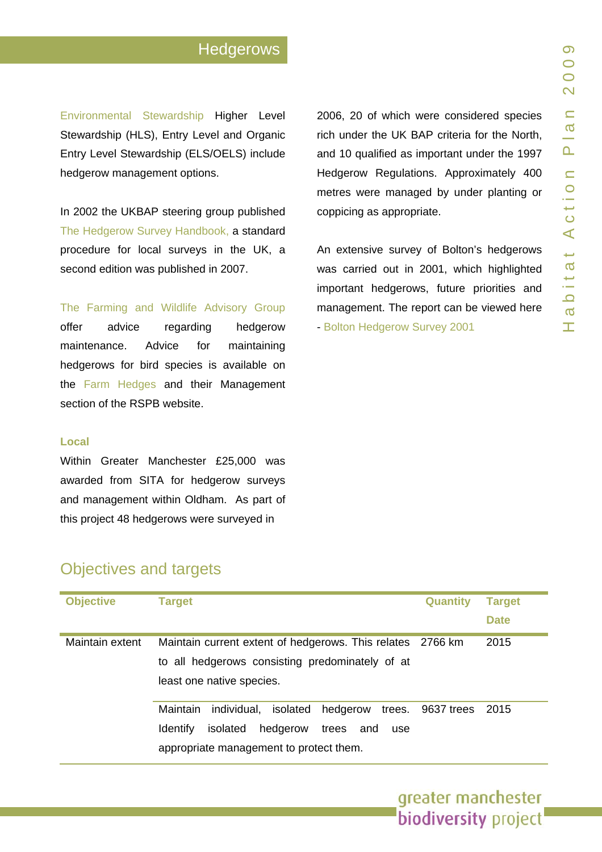## **Hedgerows**

[Environmental Stewardship](http://www.defra.gov.uk/erdp/schemes/es/default.htm) Higher Level Stewardship (HLS), Entry Level and Organic Entry Level Stewardship (ELS/OELS) includ e hedgerow management options.

In 2002 the UKBAP steering group published [The Hedgerow Surve](http://www.defra.gov.uk/farm/environment/landscape/documents/hedgerow-survey-handbook.pdf)y Handbook, a standard procedure for local surveys in the UK, a second edit ion was published in 2007.

[The Farming and Wildlife Advisory Group](http://www.fwag.org.uk/)

offer advice regarding hedgerow maintenance. Advice for maintaining hedgerows for bird spe cies is available o n the [Farm Hedges](http://www.rspb.org.uk/ourwork/conservation/advice/farmhedges/index.asp) and their Management section of the RSPB website.

#### **Local**

Within Greater Manchester £25,000 was awarded from SITA f or hedgerow surveys and management within Oldham. As part of this project 48 hedgerows were surveyed in

2006, 20 of which wer e considere d species rich under the UK BAP criteria for the North, and 10 qualified as important under the 1997 Hedgerow Regulations. Approxima tely 400 metres were managed by under planting or coppicing as appropriate.

An extensive survey of Bolton's hedgerows was carried out in 2001, which highlighted important hedgerows, future priorities and management. The report can be vie wed here - [Bolton Hedgerow Survey 2001](http://www.bolton.gov.uk/pls/portal92/docs/PAGE/ENVIRONMENT_DEPARTMENT/PLANNING_DIVISION/POLICY_AND_TRANSPORT_PLANNING/UNITARY DEVELOPMENT PLAN/TAB80245/BOLTONS_HEDGEROWS.PDF)

> greater manchester **biodiversity** project

### Objectives and targets

| <b>Objective</b> | <b>Target</b>                                                                                                                                                                 | <b>Quantity</b> | <b>Target</b><br><b>Date</b> |
|------------------|-------------------------------------------------------------------------------------------------------------------------------------------------------------------------------|-----------------|------------------------------|
| Maintain extent  | Maintain current extent of hedgerows. This relates 2766 km<br>to all hedgerows consisting predominately of at<br>least one native species.                                    |                 | 2015                         |
|                  | individual, isolated hedgerow trees. 9637 trees 2015<br>Maintain<br>hedgerow<br><b>Identify</b><br>isolated<br>trees<br>and<br>use<br>appropriate management to protect them. |                 |                              |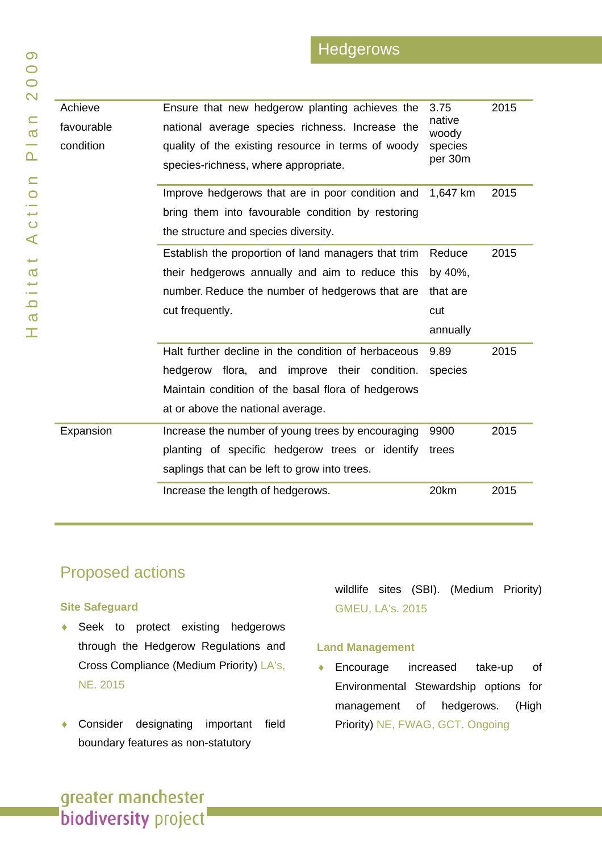### **Hedgerows**

| Achieve    | Ensure that new hedgerow planting achieves the      | 3.75               | 2015 |
|------------|-----------------------------------------------------|--------------------|------|
| favourable | national average species richness. Increase the     | native<br>woody    |      |
| condition  | quality of the existing resource in terms of woody  | species<br>per 30m |      |
|            | species-richness, where appropriate.                |                    |      |
|            | Improve hedgerows that are in poor condition and    | 1,647 km           | 2015 |
|            | bring them into favourable condition by restoring   |                    |      |
|            |                                                     |                    |      |
|            | the structure and species diversity.                |                    |      |
|            | Establish the proportion of land managers that trim | Reduce             | 2015 |
|            | their hedgerows annually and aim to reduce this     | by 40%,            |      |
|            | number. Reduce the number of hedgerows that are     | that are           |      |
|            |                                                     |                    |      |
|            | cut frequently.                                     | cut                |      |
|            |                                                     | annually           |      |
|            | Halt further decline in the condition of herbaceous | 9.89               | 2015 |
|            | hedgerow flora, and improve their condition.        | species            |      |
|            | Maintain condition of the basal flora of hedgerows  |                    |      |
|            | at or above the national average.                   |                    |      |
| Expansion  | Increase the number of young trees by encouraging   | 9900               | 2015 |
|            | planting of specific hedgerow trees or identify     | trees              |      |
|            | saplings that can be left to grow into trees.       |                    |      |
|            | Increase the length of hedgerows.                   | 20km               | 2015 |

### Proposed actions

#### **Site Safeguard**

- ♦ Seek to protect existing hedgerows through the Hedgerow Regulations and Cross Compliance (Medium Priority) LA's, NE. 2015
- ♦ Consider designating important field boundary features as non-statutory

wildlife sites (SBI). (Medium Priority) GMEU, LA's. 2015

#### **Land Management**

♦ Encourage increased take-up of Environmental Stewardship options for management of hedgerows. (High Priority) NE, FWAG, GCT. Ongoing

 $\sigma$ T,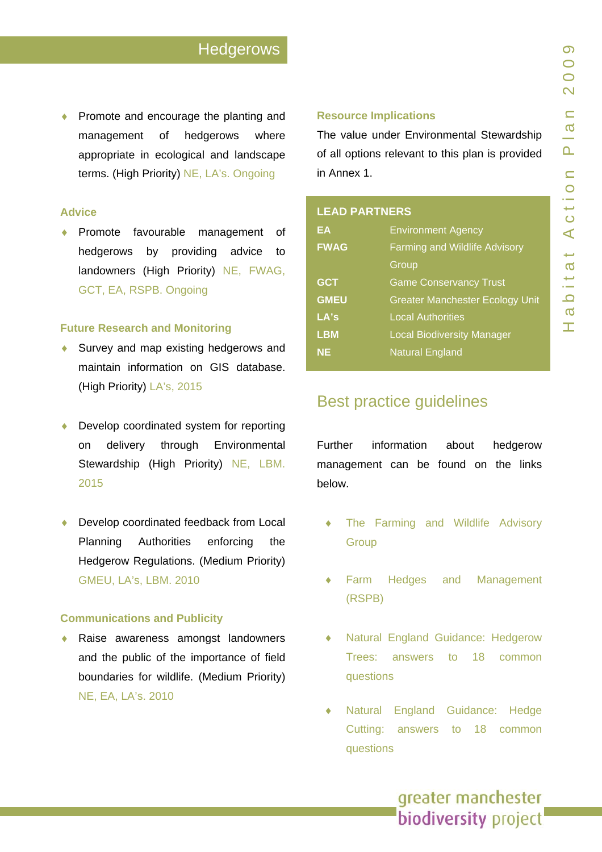◆ Promote and encourage the planting and management of hedgerows where appropriate in ecological and landscape terms. (High Priority) NE, LA's. Ongoing

#### **Advice**

♦ Promote favourable management of hedgerows by providing advice to landowners (High Priority) NE, FWAG, GCT, EA, RSPB. Ongoing

#### **Future Research and Monitoring**

- ♦ Survey and map existing hedgerows and maintain information on GIS database. (High Priority) LA's, 2015
- ♦ Develop coordinated system for reporting on delivery through Environmental Stewardship (High Priority) NE, LBM. 2015
- Develop coordinated feedback from Local Planning Authorities enforcing the Hedgerow Regulations. (Medium Priority) GMEU, LA's, LBM. 2010

#### **Communications and Publicity**

Raise awareness amongst landowners and the public of the importance of field boundaries for wildlife. (Medium Priority) NE, EA, LA's. 2010

#### **Resource Implications**

The value under Environmental Stewardship of all options relevant to this plan is provided in Annex 1.

### **LEAD PARTNERS**

| EA          | <b>Environment Agency</b>              |  |
|-------------|----------------------------------------|--|
| <b>FWAG</b> | <b>Farming and Wildlife Advisory</b>   |  |
|             | Group                                  |  |
| <b>GCT</b>  | <b>Game Conservancy Trust</b>          |  |
| <b>GMEU</b> | <b>Greater Manchester Ecology Unit</b> |  |
| LA's        | <b>Local Authorities</b>               |  |
| <b>LBM</b>  | <b>Local Biodiversity Manager</b>      |  |
| <b>NE</b>   | <b>Natural England</b>                 |  |

### Best practice guidelines

Further information about hedgerow management can be found on the links below.

- The Farming and Wildlife Advisory **[Group](http://www.fwag.org.uk/)**
- Farm Hedges and Management [\(RSPB\)](http://www.rspb.org.uk/ourwork/conservation/advice/farmhedges/index.asp)
- Natural England Guidance: Hedgerow [Trees: answers to 18 common](http://naturalengland.etraderstores.com/NaturalEnglandShop/product.aspx?ProductID=e44eea0a-9651-440d-bb8d-14382f35d5d5) [questions](http://naturalengland.etraderstores.com/NaturalEnglandShop/product.aspx?ProductID=e44eea0a-9651-440d-bb8d-14382f35d5d5)
- Natural England Guidance: Hedge [Cutting: answers to 18 common](http://naturalengland.etraderstores.com/NaturalEnglandShop/product.aspx?ProductID=6b951e40-1678-441f-83a2-2e717b7020c1) [questions](http://naturalengland.etraderstores.com/NaturalEnglandShop/product.aspx?ProductID=6b951e40-1678-441f-83a2-2e717b7020c1)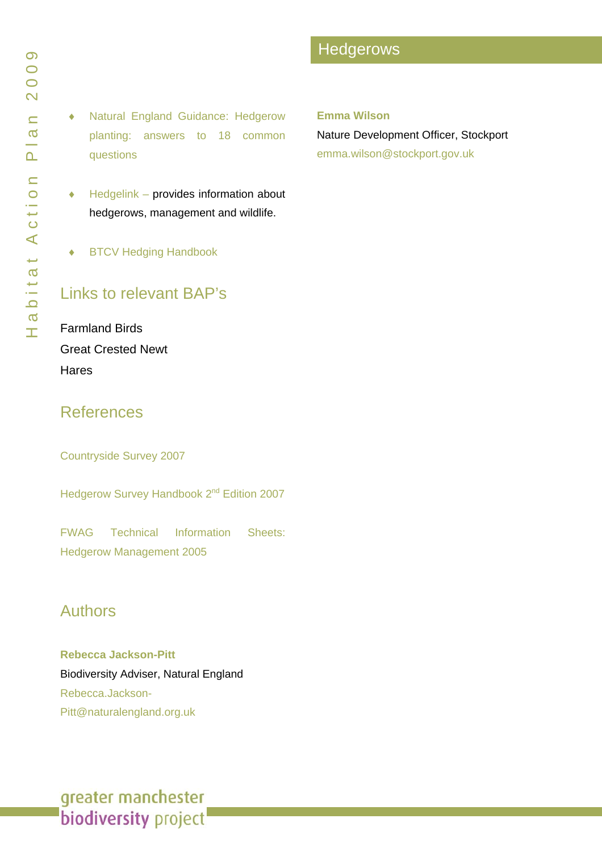♦ [Natural England Guidance: Hedgerow](http://naturalengland.etraderstores.com/NaturalEnglandShop/product.aspx?ProductID=8abe2a38-d880-40a3-801f-0e20ae54f9f6)  [planting: answers to 18 common](http://naturalengland.etraderstores.com/NaturalEnglandShop/product.aspx?ProductID=8abe2a38-d880-40a3-801f-0e20ae54f9f6)  [questions](http://naturalengland.etraderstores.com/NaturalEnglandShop/product.aspx?ProductID=8abe2a38-d880-40a3-801f-0e20ae54f9f6)

- $\triangleleft$  [Hedgelink](http://www.hedgelink.org.uk/)  provides information about hedgerows, management and wildlife.
- ♦ [BTCV Hedging Handbook](http://handbooks.btcv.org.uk/handbooks/index/book/6)

### Links to relevant BAP's

Farmland Birds [Great Crested Newt](www.gmbp.org.uk/site/images/stories/great crested newt bap_09.pdf)  **Hares** 

### References

[Countryside Survey 2007](http://www.countrysidesurvey.org.uk/pdf/reports2007/CS_UK_2007_Ch05_rev.pdf)

Hedgerow Survey Handbook 2<sup>nd</sup> Edition 2007

[FWAG Technical Information Sheets:](http://www.fwag.org.uk/dr_media/fwag/TIS3_Hedgerow_management_-_E2005_24-Feb-09.pdf)  [Hedgerow Management 2005](http://www.fwag.org.uk/dr_media/fwag/TIS3_Hedgerow_management_-_E2005_24-Feb-09.pdf)

### Authors

**Rebecca Jackson-Pitt**  Biodiversity Adviser, Natural England Rebecca.Jackson-Pitt@naturalengland.org.uk

### **Hedgerows**

#### **Emma Wilson**

Nature Development Officer, Stockport emma.wilson@stockport.gov.uk